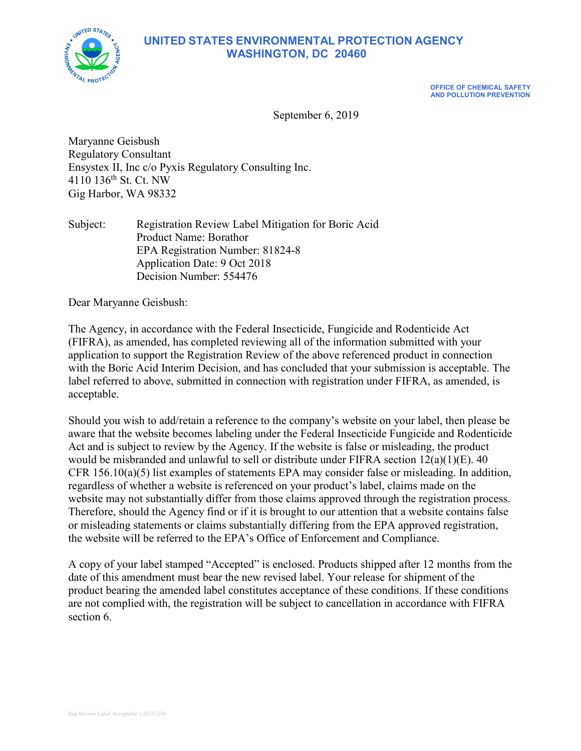

# **UNITED STATES ENVIRONMENTAL PROTECTION AGENCY WASHINGTON, DC 20460**

**OFFICE OF CHEMICAL SAFETY AND POLLUTION PREVENTION**

September 6, 2019

Maryanne Geisbush Regulatory Consultant Ensystex II, Inc c/o Pyxis Regulatory Consulting Inc. 4110 136th St. Ct. NW Gig Harbor, WA 98332

Subject: Registration Review Label Mitigation for Boric Acid Product Name: Borathor EPA Registration Number: 81824-8 Application Date: 9 Oct 2018 Decision Number: 554476

Dear Maryanne Geisbush:

The Agency, in accordance with the Federal Insecticide, Fungicide and Rodenticide Act (FIFRA), as amended, has completed reviewing all of the information submitted with your application to support the Registration Review of the above referenced product in connection with the Boric Acid Interim Decision, and has concluded that your submission is acceptable. The label referred to above, submitted in connection with registration under FIFRA, as amended, is acceptable.

Should you wish to add/retain a reference to the company's website on your label, then please be aware that the website becomes labeling under the Federal Insecticide Fungicide and Rodenticide Act and is subject to review by the Agency. If the website is false or misleading, the product would be misbranded and unlawful to sell or distribute under FIFRA section  $12(a)(1)(E)$ . 40 CFR  $156.10(a)(5)$  list examples of statements EPA may consider false or misleading. In addition, regardless of whether a website is referenced on your product's label, claims made on the website may not substantially differ from those claims approved through the registration process. Therefore, should the Agency find or if it is brought to our attention that a website contains false or misleading statements or claims substantially differing from the EPA approved registration, the website will be referred to the EPA's Office of Enforcement and Compliance.

A copy of your label stamped "Accepted" is enclosed. Products shipped after 12 months from the date of this amendment must bear the new revised label. Your release for shipment of the product bearing the amended label constitutes acceptance of these conditions. If these conditions are not complied with, the registration will be subject to cancellation in accordance with FIFRA section 6.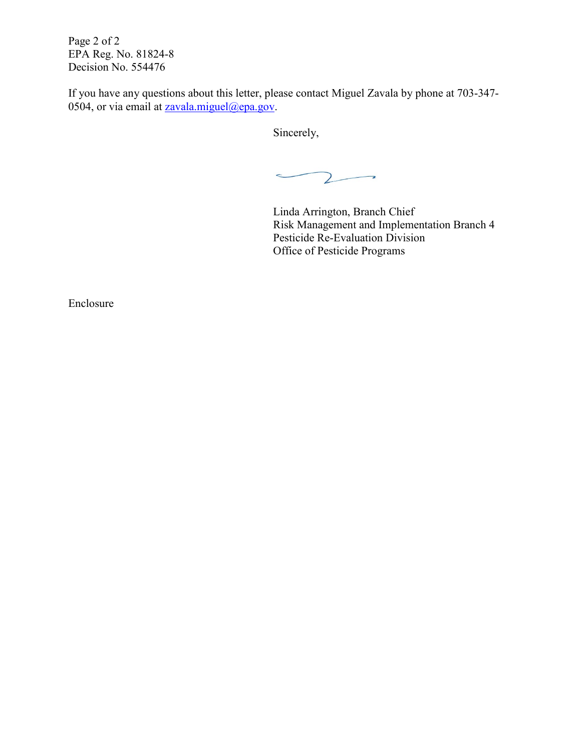Page 2 of 2 EPA Reg. No. 81824-8 Decision No. 554476

If you have any questions about this letter, please contact Miguel Zavala by phone at 703-347- 0504, or via email at  $z$ avala.miguel@epa.gov.

Sincerely,

 $\mathsf{Z}$  $\rightarrow$  $\rightarrow$ 

Linda Arrington, Branch Chief Risk Management and Implementation Branch 4 Pesticide Re-Evaluation Division Office of Pesticide Programs

Enclosure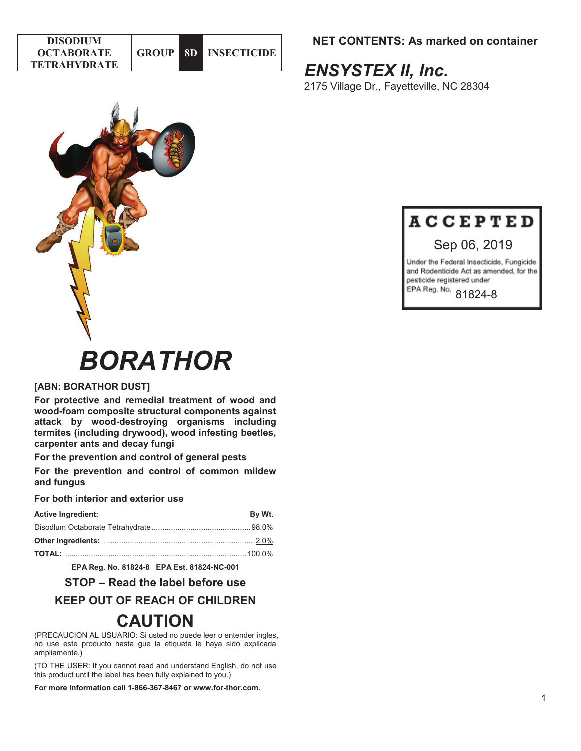| <b>DISODIUM</b>     |                |                      |
|---------------------|----------------|----------------------|
| <b>OCTABORATE</b>   | <b>GROUP L</b> | <b>8D INSECTIONE</b> |
| <b>TETRAHYDRATE</b> |                |                      |

# **NET CONTENTS: As marked on container**

# *ENSYSTEX II, Inc.*

2175 Village Dr., Fayetteville, NC 28304





# Sep 06, 2019

Under the Federal Insecticide, Fungicide and Rodenticide Act as amended, for the pesticide registered under EPA Reg. No. 81824-8

# *BORATHOR*

## **[ABN: BORATHOR DUST]**

**For protective and remedial treatment of wood and wood-foam composite structural components against attack by wood-destroying organisms including termites (including drywood), wood infesting beetles, carpenter ants and decay fungi** 

**For the prevention and control of general pests** 

**For the prevention and control of common mildew and fungus** 

#### **For both interior and exterior use**

| <b>Active Ingredient:</b> | By Wt. |
|---------------------------|--------|
|                           |        |
|                           |        |
|                           |        |

**EPA Reg. No. 81824-8 EPA Est. 81824-NC-001** 

# **STOP – Read the label before use**

# **KEEP OUT OF REACH OF CHILDREN**

# **CAUTION**

(PRECAUCION AL USUARIO: Si usted no puede leer o entender ingles, no use este producto hasta gue la etiqueta le haya sido explicada ampliamente.)

(TO THE USER: If you cannot read and understand English, do not use this product until the label has been fully explained to you.)

**For more information call 1-866-367-8467 or www.for-thor.com.**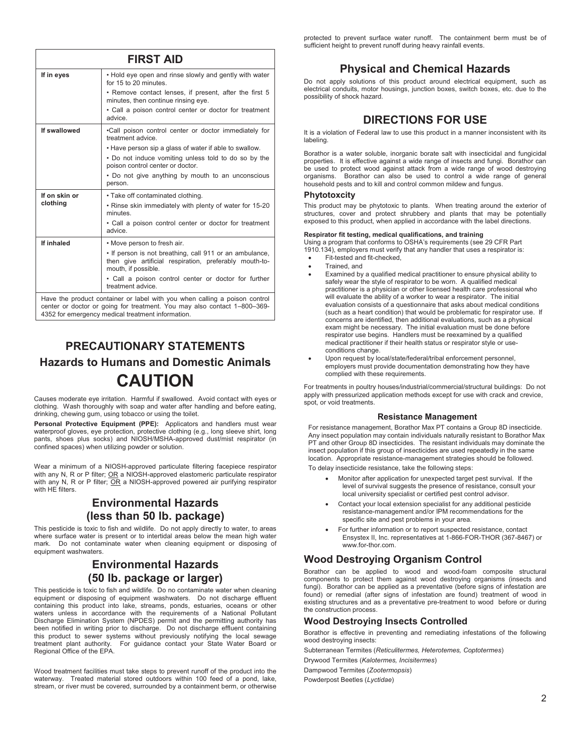mouth, if possible. • Call a poison control center or doctor for further treatment advice. Have the product container or label with you when calling a poison control

**FIRST AID If in eyes** • Hold eye open and rinse slowly and gently with water

minutes, then continue rinsing eye.

**If swallowed** •Call poison control center or doctor immediately for

poison control center or doctor.

• Take off contaminated clothing.

• Remove contact lenses, if present, after the first 5

• Call a poison control center or doctor for treatment

• Have person sip a glass of water if able to swallow. • Do not induce vomiting unless told to do so by the

• Do not give anything by mouth to an unconscious

• Rinse skin immediately with plenty of water for 15-20

• Call a poison control center or doctor for treatment

• If person is not breathing, call 911 or an ambulance, then give artificial respiration, preferably mouth-to-

for 15 to 20 minutes.

treatment advice.

advice.

person.

minutes.

advice. **If inhaled** • Move person to fresh air.

**If on skin or clothing**

center or doctor or going for treatment. You may also contact 1–800–369- 4352 for emergency medical treatment information.

# **PRECAUTIONARY STATEMENTS Hazards to Humans and Domestic Animals CAUTION**

Causes moderate eye irritation. Harmful if swallowed. Avoid contact with eyes or clothing. Wash thoroughly with soap and water after handling and before eating, drinking, chewing gum, using tobacco or using the toilet.

**Personal Protective Equipment (PPE):** Applicators and handlers must wear waterproof gloves, eye protection, protective clothing (e.g., long sleeve shirt, long pants, shoes plus socks) and NIOSH/MSHA-approved dust/mist respirator (in confined spaces) when utilizing powder or solution.

Wear a minimum of a NIOSH-approved particulate filtering facepiece respirator with any N, R or P filter; <u>OR</u> a NIOSH-approved elastomeric particulate respirator with any N, R or P filter; OR a NIOSH-approved powered air purifying respirator with HF filters.

# **Environmental Hazards (less than 50 lb. package)**

This pesticide is toxic to fish and wildlife. Do not apply directly to water, to areas where surface water is present or to intertidal areas below the mean high water mark. Do not contaminate water when cleaning equipment or disposing of equipment washwaters.

# **Environmental Hazards (50 lb. package or larger)**

This pesticide is toxic to fish and wildlife. Do no contaminate water when cleaning equipment or disposing of equipment washwaters. Do not discharge effluent containing this product into lake, streams, ponds, estuaries, oceans or other waters unless in accordance with the requirements of a National Pollutant Discharge Elimination System (NPDES) permit and the permitting authority has been notified in writing prior to discharge. Do not discharge effluent containing this product to sewer systems without previously notifying the local sewage treatment plant authority. For guidance contact your State Water Board or Regional Office of the EPA.

Wood treatment facilities must take steps to prevent runoff of the product into the waterway. Treated material stored outdoors within 100 feed of a pond, lake, stream, or river must be covered, surrounded by a containment berm, or otherwise

protected to prevent surface water runoff. The containment berm must be of sufficient height to prevent runoff during heavy rainfall events.

# **Physical and Chemical Hazards**

Do not apply solutions of this product around electrical equipment, such as electrical conduits, motor housings, junction boxes, switch boxes, etc. due to the possibility of shock hazard.

# **DIRECTIONS FOR USE**

It is a violation of Federal law to use this product in a manner inconsistent with its labeling.

Borathor is a water soluble, inorganic borate salt with insecticidal and fungicidal properties. It is effective against a wide range of insects and fungi. Borathor can be used to protect wood against attack from a wide range of wood destroying organisms. Borathor can also be used to control a wide range of general household pests and to kill and control common mildew and fungus.

#### **Phytotoxcity**

This product may be phytotoxic to plants. When treating around the exterior of structures, cover and protect shrubbery and plants that may be potentially exposed to this product, when applied in accordance with the label directions.

#### **Respirator fit testing, medical qualifications, and training**

Using a program that conforms to OSHA's requirements (see 29 CFR Part 1910.134), employers must verify that any handler that uses a respirator is:

- Fit-tested and fit-checked.
	- Trained, and
	- Examined by a qualified medical practitioner to ensure physical ability to safely wear the style of respirator to be worn. A qualified medical practitioner is a physician or other licensed health care professional who will evaluate the ability of a worker to wear a respirator. The initial evaluation consists of a questionnaire that asks about medical conditions (such as a heart condition) that would be problematic for respirator use. If concerns are identified, then additional evaluations, such as a physical exam might be necessary. The initial evaluation must be done before respirator use begins. Handlers must be reexamined by a qualified medical practitioner if their health status or respirator style or useconditions change.
- Upon request by local/state/federal/tribal enforcement personnel, employers must provide documentation demonstrating how they have complied with these requirements.

For treatments in poultry houses/industrial/commercial/structural buildings: Do not apply with pressurized application methods except for use with crack and crevice, spot, or void treatments.

#### **Resistance Management**

For resistance management, Borathor Max PT contains a Group 8D insecticide. Any insect population may contain individuals naturally resistant to Borathor Max PT and other Group 8D insecticides. The resistant individuals may dominate the insect population if this group of insecticides are used repeatedly in the same location. Appropriate resistance-management strategies should be followed.

To delay insecticide resistance, take the following steps:

- x Monitor after application for unexpected target pest survival. If the level of survival suggests the presence of resistance, consult your local university specialist or certified pest control advisor.
- Contact your local extension specialist for any additional pesticide resistance-management and/or IPM recommendations for the specific site and pest problems in your area.
- For further information or to report suspected resistance, contact Ensystex II, Inc. representatives at 1-866-FOR-THOR (367-8467) or www.for-thor.com.

## **Wood Destroying Organism Control**

Borathor can be applied to wood and wood-foam composite structural components to protect them against wood destroying organisms (insects and fungi). Borathor can be applied as a preventative (before signs of infestation are found) or remedial (after signs of infestation are found) treatment of wood in existing structures and as a preventative pre-treatment to wood before or during the construction process.

#### **Wood Destroying Insects Controlled**

Borathor is effective in preventing and remediating infestations of the following wood destroying insects:

Subterranean Termites (*Reticulitermes, Heterotemes, Coptotermes*)

Drywood Termites (*Kalotermes, Incisitermes*)

Dampwood Termites (*Zootermopsis*)

Powderpost Beetles (*Lyctidae*)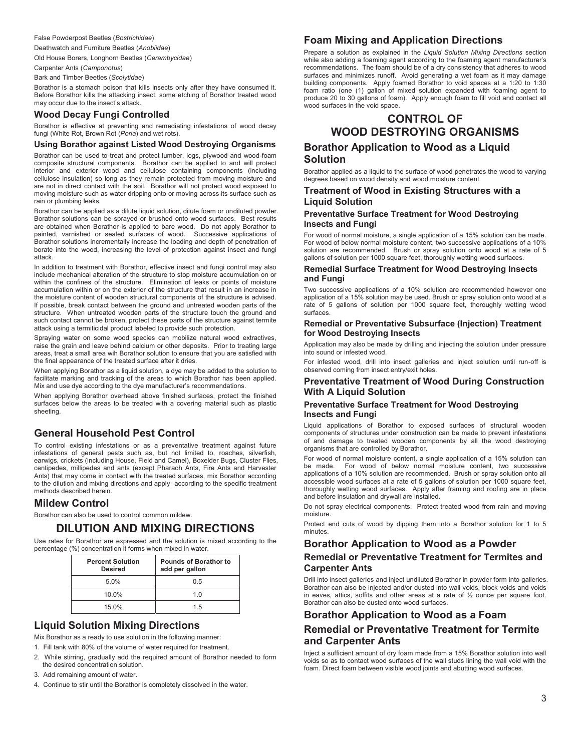False Powderpost Beetles (*Bostrichidae*)

Deathwatch and Furniture Beetles (*Anobiidae*)

Old House Borers, Longhorn Beetles (*Cerambycidae*)

Carpenter Ants (*Camponotus*)

Bark and Timber Beetles (*Scolytidae*)

Borathor is a stomach poison that kills insects only after they have consumed it. Before Borathor kills the attacking insect, some etching of Borathor treated wood may occur due to the insect's attack.

#### **Wood Decay Fungi Controlled**

Borathor is effective at preventing and remediating infestations of wood decay fungi (White Rot, Brown Rot (*Poria*) and wet rots).

#### **Using Borathor against Listed Wood Destroying Organisms**

Borathor can be used to treat and protect lumber, logs, plywood and wood-foam composite structural components. Borathor can be applied to and will protect interior and exterior wood and cellulose containing components (including cellulose insulation) so long as they remain protected from moving moisture and are not in direct contact with the soil. Borathor will not protect wood exposed to moving moisture such as water dripping onto or moving across its surface such as rain or plumbing leaks.

Borathor can be applied as a dilute liquid solution, dilute foam or undiluted powder. Borathor solutions can be sprayed or brushed onto wood surfaces. Best results are obtained when Borathor is applied to bare wood. Do not apply Borathor to painted, varnished or sealed surfaces of wood. Successive applications of Borathor solutions incrementally increase the loading and depth of penetration of borate into the wood, increasing the level of protection against insect and fungi attack.

In addition to treatment with Borathor, effective insect and fungi control may also include mechanical alteration of the structure to stop moisture accumulation on or within the confines of the structure. Elimination of leaks or points of moisture accumulation within or on the exterior of the structure that result in an increase in the moisture content of wooden structural components of the structure is advised. If possible, break contact between the ground and untreated wooden parts of the structure. When untreated wooden parts of the structure touch the ground and such contact cannot be broken, protect these parts of the structure against termite attack using a termiticidal product labeled to provide such protection.

Spraying water on some wood species can mobilize natural wood extractives, raise the grain and leave behind calcium or other deposits. Prior to treating large areas, treat a small area wih Borathor solution to ensure that you are satisfied with the final appearance of the treated surface after it dries.

When applying Borathor as a liquid solution, a dye may be added to the solution to facilitate marking and tracking of the areas to which Borathor has been applied. Mix and use dye according to the dye manufacturer's recommendations.

When applying Borathor overhead above finished surfaces, protect the finished surfaces below the areas to be treated with a covering material such as plastic sheeting.

## **General Household Pest Control**

To control existing infestations or as a preventative treatment against future infestations of general pests such as, but not limited to, roaches, silverfish, earwigs, crickets (including House, Field and Camel), Boxelder Bugs, Cluster Flies, centipedes, millipedes and ants (except Pharaoh Ants, Fire Ants and Harvester Ants) that may come in contact with the treated surfaces, mix Borathor according to the dilution and mixing directions and apply according to the specific treatment methods described herein.

#### **Mildew Control**

Borathor can also be used to control common mildew.

#### **DILUTION AND MIXING DIRECTIONS**

Use rates for Borathor are expressed and the solution is mixed according to the percentage (%) concentration it forms when mixed in water.

| <b>Percent Solution</b><br><b>Desired</b> | <b>Pounds of Borathor to</b><br>add per gallon |  |
|-------------------------------------------|------------------------------------------------|--|
| 5.0%                                      | 0.5                                            |  |
| 10.0%                                     | 1 N                                            |  |
| 15.0%                                     | 15                                             |  |

#### **Liquid Solution Mixing Directions**

Mix Borathor as a ready to use solution in the following manner:

1. Fill tank with 80% of the volume of water required for treatment.

- 2. While stirring, gradually add the required amount of Borathor needed to form the desired concentration solution.
- 3. Add remaining amount of water.

4. Continue to stir until the Borathor is completely dissolved in the water.

#### **Foam Mixing and Application Directions**

Prepare a solution as explained in the *Liquid Solution Mixing Directions* section while also adding a foaming agent according to the foaming agent manufacturer's recommendations. The foam should be of a dry consistency that adheres to wood surfaces and minimizes runoff. Avoid generating a wet foam as it may damage building components. Apply foamed Borathor to void spaces at a 1:20 to 1:30 foam ratio (one (1) gallon of mixed solution expanded with foaming agent to produce 20 to 30 gallons of foam). Apply enough foam to fill void and contact all wood surfaces in the void space.

# **CONTROL OF WOOD DESTROYING ORGANISMS**

#### **Borathor Application to Wood as a Liquid Solution**

Borathor applied as a liquid to the surface of wood penetrates the wood to varying degrees based on wood density and wood moisture content.

#### **Treatment of Wood in Existing Structures with a Liquid Solution**

#### **Preventative Surface Treatment for Wood Destroying Insects and Fungi**

For wood of normal moisture, a single application of a 15% solution can be made. For wood of below normal moisture content, two successive applications of a 10% solution are recommended. Brush or spray solution onto wood at a rate of 5 gallons of solution per 1000 square feet, thoroughly wetting wood surfaces.

#### **Remedial Surface Treatment for Wood Destroying Insects and Fungi**

Two successive applications of a 10% solution are recommended however one application of a 15% solution may be used. Brush or spray solution onto wood at a rate of 5 gallons of solution per 1000 square feet, thoroughly wetting wood surfaces.

#### **Remedial or Preventative Subsurface (Injection) Treatment for Wood Destroying Insects**

Application may also be made by drilling and injecting the solution under pressure into sound or infested wood.

For infested wood, drill into insect galleries and inject solution until run-off is observed coming from insect entry/exit holes.

#### **Preventative Treatment of Wood During Construction With A Liquid Solution**

#### **Preventative Surface Treatment for Wood Destroying Insects and Fungi**

Liquid applications of Borathor to exposed surfaces of structural wooden components of structures under construction can be made to prevent infestations of and damage to treated wooden components by all the wood destroying organisms that are controlled by Borathor.

For wood of normal moisture content, a single application of a 15% solution can be made. For wood of below normal moisture content, two successive applications of a 10% solution are recommended. Brush or spray solution onto all accessible wood surfaces at a rate of 5 gallons of solution per 1000 square feet, thoroughly wetting wood surfaces. Apply after framing and roofing are in place and before insulation and drywall are installed.

Do not spray electrical components. Protect treated wood from rain and moving moisture.

Protect end cuts of wood by dipping them into a Borathor solution for 1 to 5 minutes.

#### **Borathor Application to Wood as a Powder**

#### **Remedial or Preventative Treatment for Termites and Carpenter Ants**

Drill into insect galleries and inject undiluted Borathor in powder form into galleries. Borathor can also be injected and/or dusted into wall voids, block voids and voids in eaves, attics, soffits and other areas at a rate of  $\frac{1}{2}$  ounce per square foot. Borathor can also be dusted onto wood surfaces.

# **Borathor Application to Wood as a Foam Remedial or Preventative Treatment for Termite and Carpenter Ants**

Inject a sufficient amount of dry foam made from a 15% Borathor solution into wall voids so as to contact wood surfaces of the wall studs lining the wall void with the foam. Direct foam between visible wood joints and abutting wood surfaces.